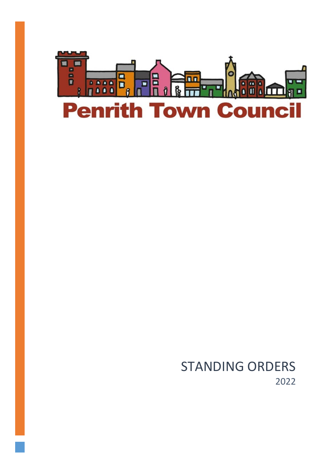

STANDING ORDERS 2022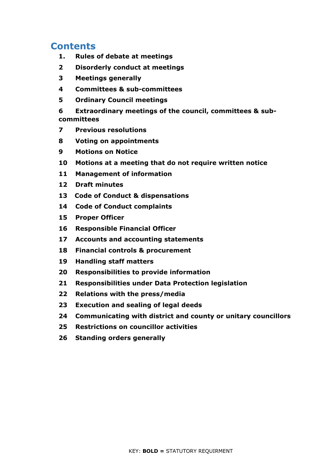# **Contents**

- **1. [Rules of debate at meetings](#page-2-0)**
- **[Disorderly conduct at meetings](#page-4-0)**
- **[Meetings generally](#page-4-1)**
- **[Committees & sub-committees](#page-7-0)**
- **[Ordinary Council meetings](#page-8-0)**

 **Extraordinary meetings [of the council, committees & sub](#page-10-0)[committees](#page-10-0)**

- **[Previous resolutions](#page-11-0)**
- **[Voting on appointments](#page-11-1)**
- **Motions on Notice**
- **[Motions at a meeting that do not require written notice](#page-13-0)**
- **[Management of information](#page-14-0)**
- **[Draft minutes](#page-15-0)**
- **[Code of Conduct & dispensations](#page-15-1)**
- **[Code of Conduct complaints](#page-17-0)**
- **[Proper Officer](#page-18-0)**
- **[Responsible Financial Officer](#page-20-0)**
- **[Accounts and accounting statements](#page-20-1)**
- **[Financial controls & procurement](#page-21-0)**
- **[Handling staff matters](#page-22-0)**
- **[Responsibilities to provide information](#page-23-0)**
- **[Responsibilities under Data Protection legislation](#page-23-1)**
- **[Relations with the press/media](#page-23-2)**
- **[Execution and sealing of legal deeds](#page-24-0)**
- **[Communicating with district and county or unitary councillors](#page-24-1)**
- **[Restrictions on councillor activities](#page-24-2)**
- **[Standing orders generally](#page-25-0)**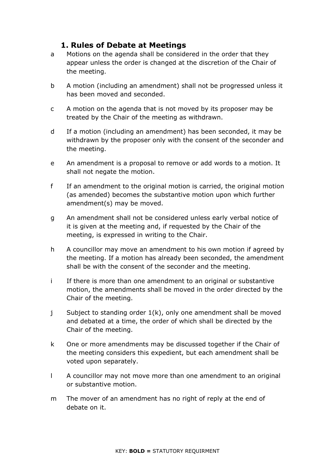### **1. Rules of Debate at Meetings**

- <span id="page-2-0"></span>a Motions on the agenda shall be considered in the order that they appear unless the order is changed at the discretion of the Chair of the meeting.
- b A motion (including an amendment) shall not be progressed unless it has been moved and seconded.
- c A motion on the agenda that is not moved by its proposer may be treated by the Chair of the meeting as withdrawn.
- d If a motion (including an amendment) has been seconded, it may be withdrawn by the proposer only with the consent of the seconder and the meeting.
- e An amendment is a proposal to remove or add words to a motion. It shall not negate the motion.
- f If an amendment to the original motion is carried, the original motion (as amended) becomes the substantive motion upon which further amendment(s) may be moved.
- g An amendment shall not be considered unless early verbal notice of it is given at the meeting and, if requested by the Chair of the meeting, is expressed in writing to the Chair.
- h A councillor may move an amendment to his own motion if agreed by the meeting. If a motion has already been seconded, the amendment shall be with the consent of the seconder and the meeting.
- i If there is more than one amendment to an original or substantive motion, the amendments shall be moved in the order directed by the Chair of the meeting.
- j Subject to standing order 1(k), only one amendment shall be moved and debated at a time, the order of which shall be directed by the Chair of the meeting.
- k One or more amendments may be discussed together if the Chair of the meeting considers this expedient, but each amendment shall be voted upon separately.
- l A councillor may not move more than one amendment to an original or substantive motion.
- m The mover of an amendment has no right of reply at the end of debate on it.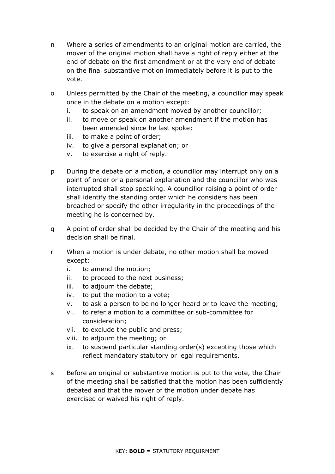- n Where a series of amendments to an original motion are carried, the mover of the original motion shall have a right of reply either at the end of debate on the first amendment or at the very end of debate on the final substantive motion immediately before it is put to the vote.
- o Unless permitted by the Chair of the meeting, a councillor may speak once in the debate on a motion except:
	- i. to speak on an amendment moved by another councillor;
	- ii. to move or speak on another amendment if the motion has been amended since he last spoke;
	- iii. to make a point of order;
	- iv. to give a personal explanation; or
	- v. to exercise a right of reply.
- p During the debate on a motion, a councillor may interrupt only on a point of order or a personal explanation and the councillor who was interrupted shall stop speaking. A councillor raising a point of order shall identify the standing order which he considers has been breached or specify the other irregularity in the proceedings of the meeting he is concerned by.
- q A point of order shall be decided by the Chair of the meeting and his decision shall be final.
- r When a motion is under debate, no other motion shall be moved except:
	- i. to amend the motion;
	- ii. to proceed to the next business;
	- iii. to adjourn the debate;
	- iv. to put the motion to a vote;
	- v. to ask a person to be no longer heard or to leave the meeting;
	- vi. to refer a motion to a committee or sub-committee for consideration;
	- vii. to exclude the public and press;
	- viii. to adjourn the meeting; or
	- ix. to suspend particular standing order(s) excepting those which reflect mandatory statutory or legal requirements.
- s Before an original or substantive motion is put to the vote, the Chair of the meeting shall be satisfied that the motion has been sufficiently debated and that the mover of the motion under debate has exercised or waived his right of reply.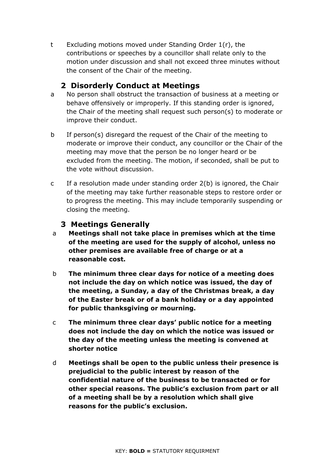t Excluding motions moved under Standing Order 1(r), the contributions or speeches by a councillor shall relate only to the motion under discussion and shall not exceed three minutes without the consent of the Chair of the meeting.

### **2 Disorderly Conduct at Meetings**

- <span id="page-4-0"></span>a No person shall obstruct the transaction of business at a meeting or behave offensively or improperly. If this standing order is ignored, the Chair of the meeting shall request such person(s) to moderate or improve their conduct.
- b If person(s) disregard the request of the Chair of the meeting to moderate or improve their conduct, any councillor or the Chair of the meeting may move that the person be no longer heard or be excluded from the meeting. The motion, if seconded, shall be put to the vote without discussion.
- c If a resolution made under standing order 2(b) is ignored, the Chair of the meeting may take further reasonable steps to restore order or to progress the meeting. This may include temporarily suspending or closing the meeting.

### <span id="page-4-1"></span>**3 Meetings Generally**

- a **Meetings shall not take place in premises which at the time of the meeting are used for the supply of alcohol, unless no other premises are available free of charge or at a reasonable cost.**
- b **The minimum three clear days for notice of a meeting does not include the day on which notice was issued, the day of the meeting, a Sunday, a day of the Christmas break, a day of the Easter break or of a bank holiday or a day appointed for public thanksgiving or mourning.**
- c **The minimum three clear days' public notice for a meeting does not include the day on which the notice was issued or the day of the meeting unless the meeting is convened at shorter notice**
- d **Meetings shall be open to the public unless their presence is prejudicial to the public interest by reason of the confidential nature of the business to be transacted or for other special reasons. The public's exclusion from part or all of a meeting shall be by a resolution which shall give reasons for the public's exclusion.**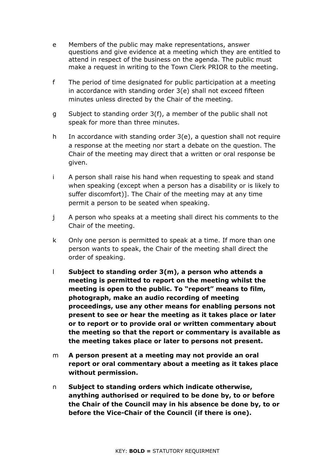- e Members of the public may make representations, answer questions and give evidence at a meeting which they are entitled to attend in respect of the business on the agenda. The public must make a request in writing to the Town Clerk PRIOR to the meeting.
- f The period of time designated for public participation at a meeting in accordance with standing order 3(e) shall not exceed fifteen minutes unless directed by the Chair of the meeting.
- g Subject to standing order 3(f), a member of the public shall not speak for more than three minutes.
- h In accordance with standing order 3(e), a question shall not require a response at the meeting nor start a debate on the question. The Chair of the meeting may direct that a written or oral response be given.
- i A person shall raise his hand when requesting to speak and stand when speaking (except when a person has a disability or is likely to suffer discomfort)]. The Chair of the meeting may at any time permit a person to be seated when speaking.
- j A person who speaks at a meeting shall direct his comments to the Chair of the meeting.
- k Only one person is permitted to speak at a time. If more than one person wants to speak, the Chair of the meeting shall direct the order of speaking.
- l **Subject to standing order 3(m), a person who attends a meeting is permitted to report on the meeting whilst the meeting is open to the public. To "report" means to film, photograph, make an audio recording of meeting proceedings, use any other means for enabling persons not present to see or hear the meeting as it takes place or later or to report or to provide oral or written commentary about the meeting so that the report or commentary is available as the meeting takes place or later to persons not present.**
- m **A person present at a meeting may not provide an oral report or oral commentary about a meeting as it takes place without permission.**
- n **Subject to standing orders which indicate otherwise, anything authorised or required to be done by, to or before the Chair of the Council may in his absence be done by, to or before the Vice-Chair of the Council (if there is one).**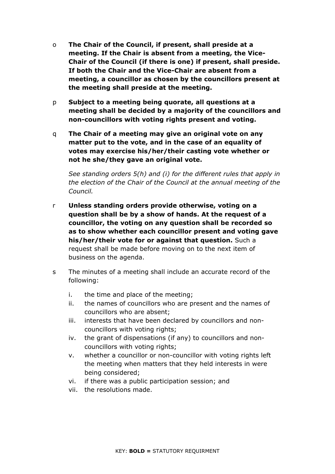- o **The Chair of the Council, if present, shall preside at a meeting. If the Chair is absent from a meeting, the Vice-Chair of the Council (if there is one) if present, shall preside. If both the Chair and the Vice-Chair are absent from a meeting, a councillor as chosen by the councillors present at the meeting shall preside at the meeting.**
- p **Subject to a meeting being quorate, all questions at a meeting shall be decided by a majority of the councillors and non-councillors with voting rights present and voting.**
- q **The Chair of a meeting may give an original vote on any matter put to the vote, and in the case of an equality of votes may exercise his/her/their casting vote whether or not he she/they gave an original vote.**

*See standing orders 5(h) and (i) for the different rules that apply in the election of the Chair of the Council at the annual meeting of the Council.*

- r **Unless standing orders provide otherwise, voting on a question shall be by a show of hands. At the request of a councillor, the voting on any question shall be recorded so as to show whether each councillor present and voting gave his/her/their vote for or against that question.** Such a request shall be made before moving on to the next item of business on the agenda.
- s The minutes of a meeting shall include an accurate record of the following:
	- i. the time and place of the meeting;
	- ii. the names of councillors who are present and the names of councillors who are absent;
	- iii. interests that have been declared by councillors and noncouncillors with voting rights;
	- iv. the grant of dispensations (if any) to councillors and noncouncillors with voting rights;
	- v. whether a councillor or non-councillor with voting rights left the meeting when matters that they held interests in were being considered;
	- vi. if there was a public participation session; and
	- vii. the resolutions made.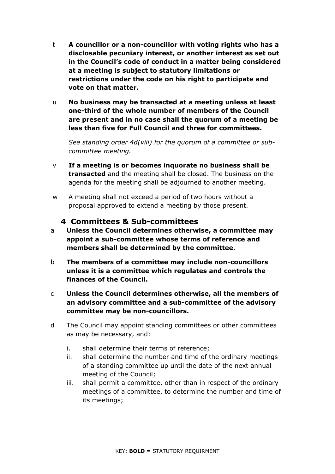- t **A councillor or a non-councillor with voting rights who has a disclosable pecuniary interest, or another interest as set out in the Council's code of conduct in a matter being considered at a meeting is subject to statutory limitations or restrictions under the code on his right to participate and vote on that matter.**
- u **No business may be transacted at a meeting unless at least one-third of the whole number of members of the Council are present and in no case shall the quorum of a meeting be less than five for Full Council and three for committees.**

*See standing order 4d(viii) for the quorum of a committee or subcommittee meeting.* 

- v **If a meeting is or becomes inquorate no business shall be transacted** and the meeting shall be closed. The business on the agenda for the meeting shall be adjourned to another meeting.
- w A meeting shall not exceed a period of two hours without a proposal approved to extend a meeting by those present.

#### <span id="page-7-0"></span>**4 Committees & Sub-committees**

- a **Unless the Council determines otherwise, a committee may appoint a sub-committee whose terms of reference and members shall be determined by the committee.**
- b **The members of a committee may include non-councillors unless it is a committee which regulates and controls the finances of the Council.**
- c **Unless the Council determines otherwise, all the members of an advisory committee and a sub-committee of the advisory committee may be non-councillors.**
- d The Council may appoint standing committees or other committees as may be necessary, and:
	- i. shall determine their terms of reference;
	- ii. shall determine the number and time of the ordinary meetings of a standing committee up until the date of the next annual meeting of the Council;
	- iii. shall permit a committee, other than in respect of the ordinary meetings of a committee, to determine the number and time of its meetings;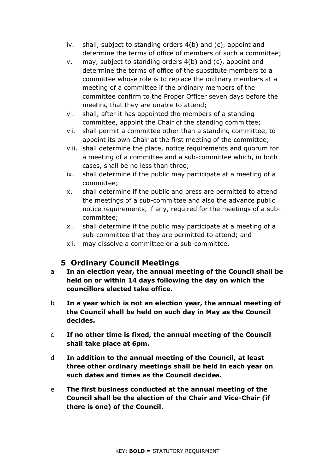- iv. shall, subject to standing orders 4(b) and (c), appoint and determine the terms of office of members of such a committee;
- v. may, subject to standing orders 4(b) and (c), appoint and determine the terms of office of the substitute members to a committee whose role is to replace the ordinary members at a meeting of a committee if the ordinary members of the committee confirm to the Proper Officer seven days before the meeting that they are unable to attend;
- vi. shall, after it has appointed the members of a standing committee, appoint the Chair of the standing committee;
- vii. shall permit a committee other than a standing committee, to appoint its own Chair at the first meeting of the committee;
- viii. shall determine the place, notice requirements and quorum for a meeting of a committee and a sub-committee which, in both cases, shall be no less than three;
- ix. shall determine if the public may participate at a meeting of a committee;
- x. shall determine if the public and press are permitted to attend the meetings of a sub-committee and also the advance public notice requirements, if any, required for the meetings of a subcommittee;
- xi. shall determine if the public may participate at a meeting of a sub-committee that they are permitted to attend; and
- xii. may dissolve a committee or a sub-committee.

## <span id="page-8-0"></span>**5 Ordinary Council Meetings**

- a **In an election year, the annual meeting of the Council shall be held on or within 14 days following the day on which the councillors elected take office.**
- b **In a year which is not an election year, the annual meeting of the Council shall be held on such day in May as the Council decides.**
- c **If no other time is fixed, the annual meeting of the Council shall take place at 6pm.**
- d **In addition to the annual meeting of the Council, at least three other ordinary meetings shall be held in each year on such dates and times as the Council decides.**
- e **The first business conducted at the annual meeting of the Council shall be the election of the Chair and Vice-Chair (if there is one) of the Council.**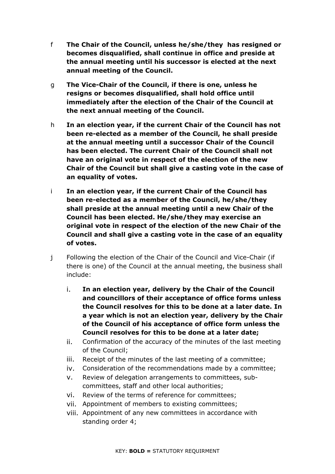- f **The Chair of the Council, unless he/she/they has resigned or becomes disqualified, shall continue in office and preside at the annual meeting until his successor is elected at the next annual meeting of the Council.**
- g **The Vice-Chair of the Council, if there is one, unless he resigns or becomes disqualified, shall hold office until immediately after the election of the Chair of the Council at the next annual meeting of the Council.**
- h **In an election year, if the current Chair of the Council has not been re-elected as a member of the Council, he shall preside at the annual meeting until a successor Chair of the Council has been elected. The current Chair of the Council shall not have an original vote in respect of the election of the new Chair of the Council but shall give a casting vote in the case of an equality of votes.**
- i **In an election year, if the current Chair of the Council has been re-elected as a member of the Council, he/she/they shall preside at the annual meeting until a new Chair of the Council has been elected. He/she/they may exercise an original vote in respect of the election of the new Chair of the Council and shall give a casting vote in the case of an equality of votes.**
- j Following the election of the Chair of the Council and Vice-Chair (if there is one) of the Council at the annual meeting, the business shall include:
	- i. **In an election year, delivery by the Chair of the Council and councillors of their acceptance of office forms unless the Council resolves for this to be done at a later date. In a year which is not an election year, delivery by the Chair of the Council of his acceptance of office form unless the Council resolves for this to be done at a later date;**
	- ii. Confirmation of the accuracy of the minutes of the last meeting of the Council;
	- iii. Receipt of the minutes of the last meeting of a committee;
	- iv. Consideration of the recommendations made by a committee;
	- v. Review of delegation arrangements to committees, subcommittees, staff and other local authorities;
	- vi. Review of the terms of reference for committees;
	- vii. Appointment of members to existing committees;
	- viii. Appointment of any new committees in accordance with standing order 4;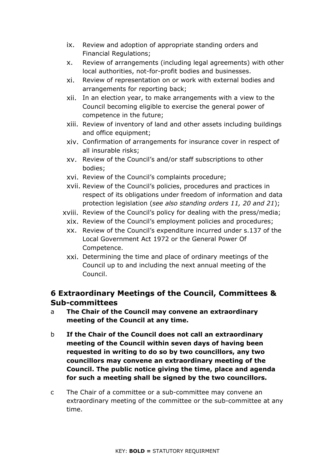- ix. Review and adoption of appropriate standing orders and Financial Regulations;
- x. Review of arrangements (including legal agreements) with other local authorities, not-for-profit bodies and businesses.
- xi. Review of representation on or work with external bodies and arrangements for reporting back;
- xii. In an election year, to make arrangements with a view to the Council becoming eligible to exercise the general power of competence in the future;
- xiii. Review of inventory of land and other assets including buildings and office equipment;
- xiv. Confirmation of arrangements for insurance cover in respect of all insurable risks;
- xv. Review of the Council's and/or staff subscriptions to other bodies;
- xvi. Review of the Council's complaints procedure;
- xvii. Review of the Council's policies, procedures and practices in respect of its obligations under freedom of information and data protection legislation (*see also standing orders 11, 20 and 21*);
- xviii. Review of the Council's policy for dealing with the press/media;
- xix. Review of the Council's employment policies and procedures;
- xx. Review of the Council's expenditure incurred under s.137 of the Local Government Act 1972 or the General Power Of Competence.
- <span id="page-10-0"></span>xxi. Determining the time and place of ordinary meetings of the Council up to and including the next annual meeting of the Council.

## **6 Extraordinary Meetings of the Council, Committees & Sub-committees**

- a **The Chair of the Council may convene an extraordinary meeting of the Council at any time.**
- b **If the Chair of the Council does not call an extraordinary meeting of the Council within seven days of having been requested in writing to do so by two councillors, any two councillors may convene an extraordinary meeting of the Council. The public notice giving the time, place and agenda for such a meeting shall be signed by the two councillors.**
- c The Chair of a committee or a sub-committee may convene an extraordinary meeting of the committee or the sub-committee at any time.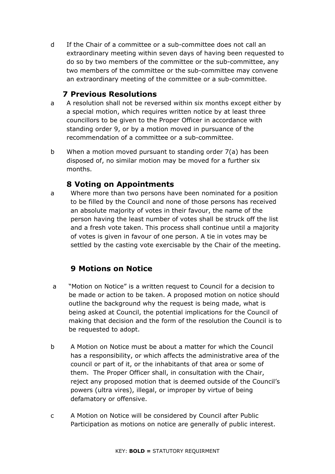d If the Chair of a committee or a sub-committee does not call an extraordinary meeting within seven days of having been requested to do so by two members of the committee or the sub-committee, any two members of the committee or the sub-committee may convene an extraordinary meeting of the committee or a sub-committee.

## **7 Previous Resolutions**

- <span id="page-11-0"></span>a A resolution shall not be reversed within six months except either by a special motion, which requires written notice by at least three councillors to be given to the Proper Officer in accordance with standing order 9, or by a motion moved in pursuance of the recommendation of a committee or a sub-committee.
- b When a motion moved pursuant to standing order 7(a) has been disposed of, no similar motion may be moved for a further six months.

### **8 Voting on Appointments**

<span id="page-11-1"></span>a Where more than two persons have been nominated for a position to be filled by the Council and none of those persons has received an absolute majority of votes in their favour, the name of the person having the least number of votes shall be struck off the list and a fresh vote taken. This process shall continue until a majority of votes is given in favour of one person. A tie in votes may be settled by the casting vote exercisable by the Chair of the meeting.

## **9 Motions on Notice**

- a "Motion on Notice" is a written request to Council for a decision to be made or action to be taken. A proposed motion on notice should outline the background why the request is being made, what is being asked at Council, the potential implications for the Council of making that decision and the form of the resolution the Council is to be requested to adopt.
- b A Motion on Notice must be about a matter for which the Council has a responsibility, or which affects the administrative area of the council or part of it, or the inhabitants of that area or some of them. The Proper Officer shall, in consultation with the Chair, reject any proposed motion that is deemed outside of the Council's powers (ultra vires), illegal, or improper by virtue of being defamatory or offensive.
- c A Motion on Notice will be considered by Council after Public Participation as motions on notice are generally of public interest.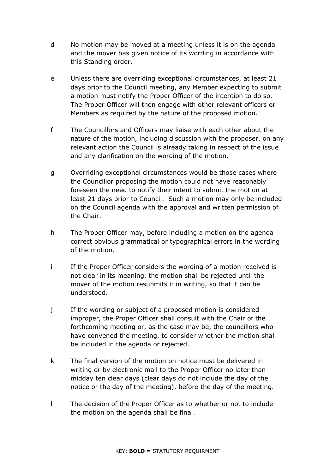- d No motion may be moved at a meeting unless it is on the agenda and the mover has given notice of its wording in accordance with this Standing order.
- e Unless there are overriding exceptional circumstances, at least 21 days prior to the Council meeting, any Member expecting to submit a motion must notify the Proper Officer of the intention to do so. The Proper Officer will then engage with other relevant officers or Members as required by the nature of the proposed motion.
- f The Councillors and Officers may liaise with each other about the nature of the motion, including discussion with the proposer, on any relevant action the Council is already taking in respect of the issue and any clarification on the wording of the motion.
- g Overriding exceptional circumstances would be those cases where the Councillor proposing the motion could not have reasonably foreseen the need to notify their intent to submit the motion at least 21 days prior to Council. Such a motion may only be included on the Council agenda with the approval and written permission of the Chair.
- h The Proper Officer may, before including a motion on the agenda correct obvious grammatical or typographical errors in the wording of the motion.
- i If the Proper Officer considers the wording of a motion received is not clear in its meaning, the motion shall be rejected until the mover of the motion resubmits it in writing, so that it can be understood.
- j If the wording or subject of a proposed motion is considered improper, the Proper Officer shall consult with the Chair of the forthcoming meeting or, as the case may be, the councillors who have convened the meeting, to consider whether the motion shall be included in the agenda or rejected.
- k The final version of the motion on notice must be delivered in writing or by electronic mail to the Proper Officer no later than midday ten clear days (clear days do not include the day of the notice or the day of the meeting), before the day of the meeting.
- l The decision of the Proper Officer as to whether or not to include the motion on the agenda shall be final.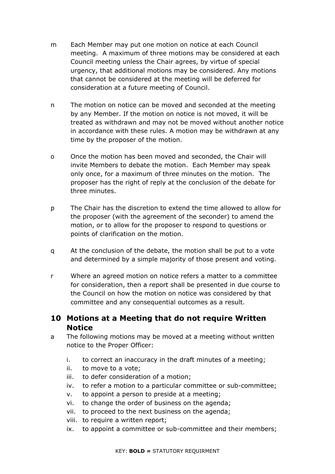- m Each Member may put one motion on notice at each Council meeting. A maximum of three motions may be considered at each Council meeting unless the Chair agrees, by virtue of special urgency, that additional motions may be considered. Any motions that cannot be considered at the meeting will be deferred for consideration at a future meeting of Council.
- n The motion on notice can be moved and seconded at the meeting by any Member. If the motion on notice is not moved, it will be treated as withdrawn and may not be moved without another notice in accordance with these rules. A motion may be withdrawn at any time by the proposer of the motion.
- o Once the motion has been moved and seconded, the Chair will invite Members to debate the motion. Each Member may speak only once, for a maximum of three minutes on the motion. The proposer has the right of reply at the conclusion of the debate for three minutes.
- p The Chair has the discretion to extend the time allowed to allow for the proposer (with the agreement of the seconder) to amend the motion, or to allow for the proposer to respond to questions or points of clarification on the motion.
- q At the conclusion of the debate, the motion shall be put to a vote and determined by a simple majority of those present and voting.
- r Where an agreed motion on notice refers a matter to a committee for consideration, then a report shall be presented in due course to the Council on how the motion on notice was considered by that committee and any consequential outcomes as a result.
- <span id="page-13-0"></span>**10 Motions at a Meeting that do not require Written Notice**
- a The following motions may be moved at a meeting without written notice to the Proper Officer:
	- i. to correct an inaccuracy in the draft minutes of a meeting;
	- ii. to move to a vote;
	- iii. to defer consideration of a motion;
	- iv. to refer a motion to a particular committee or sub-committee;
	- v. to appoint a person to preside at a meeting;
	- vi. to change the order of business on the agenda;
	- vii. to proceed to the next business on the agenda;
	- viii. to require a written report;
	- ix. to appoint a committee or sub-committee and their members;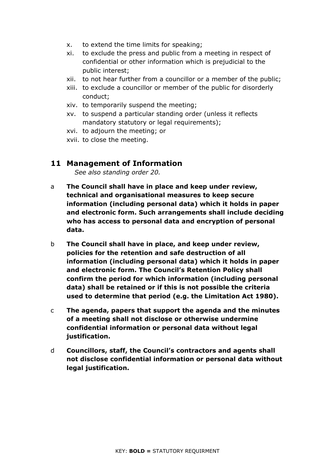- x. to extend the time limits for speaking;
- xi. to exclude the press and public from a meeting in respect of confidential or other information which is prejudicial to the public interest;
- xii. to not hear further from a councillor or a member of the public;
- xiii. to exclude a councillor or member of the public for disorderly conduct;
- xiv. to temporarily suspend the meeting;
- xv. to suspend a particular standing order (unless it reflects mandatory statutory or legal requirements);
- xvi. to adjourn the meeting; or
- xvii. to close the meeting.

#### <span id="page-14-0"></span>**11 Management of Information**

*See also standing order 20.*

- a **The Council shall have in place and keep under review, technical and organisational measures to keep secure information (including personal data) which it holds in paper and electronic form. Such arrangements shall include deciding who has access to personal data and encryption of personal data.**
- b **The Council shall have in place, and keep under review, policies for the retention and safe destruction of all information (including personal data) which it holds in paper and electronic form. The Council's Retention Policy shall confirm the period for which information (including personal data) shall be retained or if this is not possible the criteria used to determine that period (e.g. the Limitation Act 1980).**
- c **The agenda, papers that support the agenda and the minutes of a meeting shall not disclose or otherwise undermine confidential information or personal data without legal justification.**
- d **Councillors, staff, the Council's contractors and agents shall not disclose confidential information or personal data without legal justification.**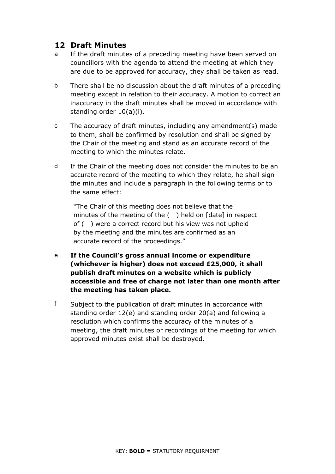### <span id="page-15-0"></span>**12 Draft Minutes**

- a If the draft minutes of a preceding meeting have been served on councillors with the agenda to attend the meeting at which they are due to be approved for accuracy, they shall be taken as read.
- b There shall be no discussion about the draft minutes of a preceding meeting except in relation to their accuracy. A motion to correct an inaccuracy in the draft minutes shall be moved in accordance with standing order 10(a)(i).
- c The accuracy of draft minutes, including any amendment(s) made to them, shall be confirmed by resolution and shall be signed by the Chair of the meeting and stand as an accurate record of the meeting to which the minutes relate.
- d If the Chair of the meeting does not consider the minutes to be an accurate record of the meeting to which they relate, he shall sign the minutes and include a paragraph in the following terms or to the same effect:

"The Chair of this meeting does not believe that the minutes of the meeting of the ( ) held on [date] in respect of ( ) were a correct record but his view was not upheld by the meeting and the minutes are confirmed as an accurate record of the proceedings."

- e **If the Council's gross annual income or expenditure (whichever is higher) does not exceed £25,000, it shall publish draft minutes on a website which is publicly accessible and free of charge not later than one month after the meeting has taken place.**
- <span id="page-15-1"></span>f Subject to the publication of draft minutes in accordance with standing order 12(e) and standing order 20(a) and following a resolution which confirms the accuracy of the minutes of a meeting, the draft minutes or recordings of the meeting for which approved minutes exist shall be destroyed.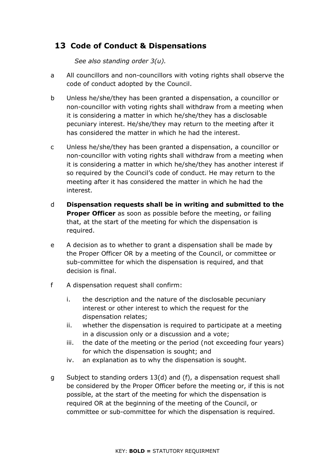## **13 Code of Conduct & Dispensations**

*See also standing order 3(u).* 

- a All councillors and non-councillors with voting rights shall observe the code of conduct adopted by the Council.
- b Unless he/she/they has been granted a dispensation, a councillor or non-councillor with voting rights shall withdraw from a meeting when it is considering a matter in which he/she/they has a disclosable pecuniary interest. He/she/they may return to the meeting after it has considered the matter in which he had the interest.
- c Unless he/she/they has been granted a dispensation, a councillor or non-councillor with voting rights shall withdraw from a meeting when it is considering a matter in which he/she/they has another interest if so required by the Council's code of conduct. He may return to the meeting after it has considered the matter in which he had the interest.
- d **Dispensation requests shall be in writing and submitted to the Proper Officer** as soon as possible before the meeting, or failing that, at the start of the meeting for which the dispensation is required.
- e A decision as to whether to grant a dispensation shall be made by the Proper Officer OR by a meeting of the Council, or committee or sub-committee for which the dispensation is required, and that decision is final.
- f A dispensation request shall confirm:
	- i. the description and the nature of the disclosable pecuniary interest or other interest to which the request for the dispensation relates;
	- ii. whether the dispensation is required to participate at a meeting in a discussion only or a discussion and a vote;
	- iii. the date of the meeting or the period (not exceeding four years) for which the dispensation is sought; and
	- iv. an explanation as to why the dispensation is sought.
- g Subject to standing orders 13(d) and (f), a dispensation request shall be considered by the Proper Officer before the meeting or, if this is not possible, at the start of the meeting for which the dispensation is required OR at the beginning of the meeting of the Council, or committee or sub-committee for which the dispensation is required.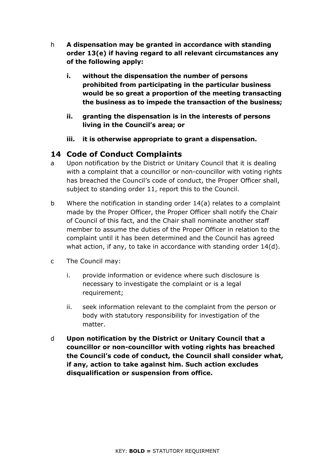- h **A dispensation may be granted in accordance with standing order 13(e) if having regard to all relevant circumstances any of the following apply:**
	- **i. without the dispensation the number of persons prohibited from participating in the particular business would be so great a proportion of the meeting transacting the business as to impede the transaction of the business;**
	- **ii. granting the dispensation is in the interests of persons living in the Council's area; or**
	- **iii. it is otherwise appropriate to grant a dispensation.**

### <span id="page-17-0"></span>**14 Code of Conduct Complaints**

- a Upon notification by the District or Unitary Council that it is dealing with a complaint that a councillor or non-councillor with voting rights has breached the Council's code of conduct, the Proper Officer shall, subject to standing order 11, report this to the Council.
- b Where the notification in standing order 14(a) relates to a complaint made by the Proper Officer, the Proper Officer shall notify the Chair of Council of this fact, and the Chair shall nominate another staff member to assume the duties of the Proper Officer in relation to the complaint until it has been determined and the Council has agreed what action, if any, to take in accordance with standing order 14(d).
- c The Council may:
	- i. provide information or evidence where such disclosure is necessary to investigate the complaint or is a legal requirement;
	- ii. seek information relevant to the complaint from the person or body with statutory responsibility for investigation of the matter.
- d **Upon notification by the District or Unitary Council that a councillor or non-councillor with voting rights has breached the Council's code of conduct, the Council shall consider what, if any, action to take against him. Such action excludes disqualification or suspension from office.**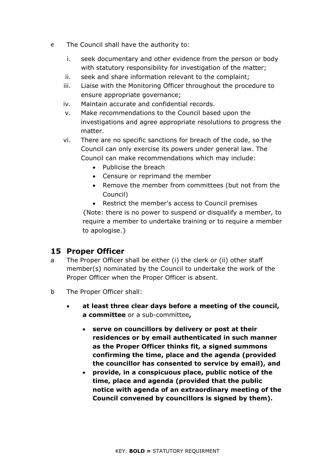- e The Council shall have the authority to:
	- i. seek documentary and other evidence from the person or body with statutory responsibility for investigation of the matter;
	- ii. seek and share information relevant to the complaint;
	- iii. Liaise with the Monitoring Officer throughout the procedure to ensure appropriate governance;
	- iv. Maintain accurate and confidential records.
	- v. Make recommendations to the Council based upon the investigations and agree appropriate resolutions to progress the matter.
	- vi. There are no specific sanctions for breach of the code, so the Council can only exercise its powers under general law. The Council can make recommendations which may include:
		- Publicise the breach
		- Censure or reprimand the member
		- Remove the member from committees (but not from the Council)

• Restrict the member's access to Council premises {Note: there is no power to suspend or disqualify a member, to require a member to undertake training or to require a member to apologise.}

#### <span id="page-18-0"></span>**15 Proper Officer**

- a The Proper Officer shall be either (i) the clerk or (ii) other staff member(s) nominated by the Council to undertake the work of the Proper Officer when the Proper Officer is absent.
- b The Proper Officer shall:
	- **at least three clear days before a meeting of the council, a committee** or a sub-committee**,**
		- **serve on councillors by delivery or post at their residences or by email authenticated in such manner as the Proper Officer thinks fit, a signed summons confirming the time, place and the agenda (provided the councillor has consented to service by email), and**
		- **provide, in a conspicuous place, public notice of the time, place and agenda (provided that the public notice with agenda of an extraordinary meeting of the Council convened by councillors is signed by them).**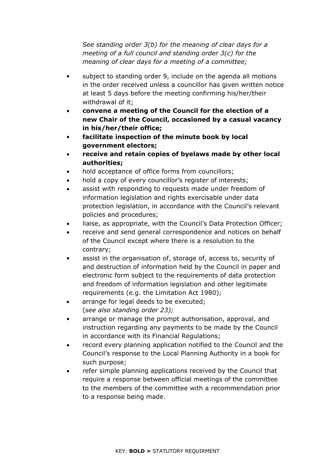*See standing order 3(b) for the meaning of clear days for a meeting of a full council and standing order 3(c) for the meaning of clear days for a meeting of a committee;*

- subject to standing order 9, include on the agenda all motions in the order received unless a councillor has given written notice at least 5 days before the meeting confirming his/her/their withdrawal of it;
- **convene a meeting of the Council for the election of a new Chair of the Council, occasioned by a casual vacancy in his/her/their office;**
- **facilitate inspection of the minute book by local government electors;**
- **receive and retain copies of byelaws made by other local authorities;**
- hold acceptance of office forms from councillors;
- hold a copy of every councillor's register of interests;
- assist with responding to requests made under freedom of information legislation and rights exercisable under data protection legislation, in accordance with the Council's relevant policies and procedures;
- liaise, as appropriate, with the Council's Data Protection Officer;
- receive and send general correspondence and notices on behalf of the Council except where there is a resolution to the contrary;
- assist in the organisation of, storage of, access to, security of and destruction of information held by the Council in paper and electronic form subject to the requirements of data protection and freedom of information legislation and other legitimate requirements (e.g. the Limitation Act 1980);
- arrange for legal deeds to be executed; (*see also standing order 23);*
- arrange or manage the prompt authorisation, approval, and instruction regarding any payments to be made by the Council in accordance with its Financial Regulations;
- record every planning application notified to the Council and the Council's response to the Local Planning Authority in a book for such purpose;
- refer simple planning applications received by the Council that require a response between official meetings of the committee to the members of the committee with a recommendation prior to a response being made.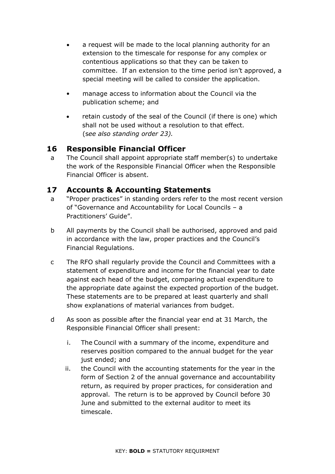- a request will be made to the local planning authority for an extension to the timescale for response for any complex or contentious applications so that they can be taken to committee. If an extension to the time period isn't approved, a special meeting will be called to consider the application.
- manage access to information about the Council via the publication scheme; and
- retain custody of the seal of the Council (if there is one) which shall not be used without a resolution to that effect. (s*ee also standing order 23).*

### <span id="page-20-0"></span>**16 Responsible Financial Officer**

a The Council shall appoint appropriate staff member(s) to undertake the work of the Responsible Financial Officer when the Responsible Financial Officer is absent.

### <span id="page-20-1"></span>**17 Accounts & Accounting Statements**

- a "Proper practices" in standing orders refer to the most recent version of "Governance and Accountability for Local Councils – a Practitioners' Guide".
- b All payments by the Council shall be authorised, approved and paid in accordance with the law, proper practices and the Council's Financial Regulations.
- c The RFO shall regularly provide the Council and Committees with a statement of expenditure and income for the financial year to date against each head of the budget, comparing actual expenditure to the appropriate date against the expected proportion of the budget. These statements are to be prepared at least quarterly and shall show explanations of material variances from budget.
- d As soon as possible after the financial year end at 31 March, the Responsible Financial Officer shall present:
	- i. The Council with a summary of the income, expenditure and reserves position compared to the annual budget for the year just ended; and
	- ii. the Council with the accounting statements for the year in the form of Section 2 of the annual governance and accountability return, as required by proper practices, for consideration and approval. The return is to be approved by Council before 30 June and submitted to the external auditor to meet its timescale.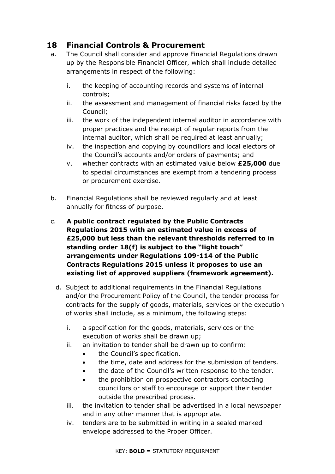## <span id="page-21-0"></span>**18 Financial Controls & Procurement**

- a. The Council shall consider and approve Financial Regulations drawn up by the Responsible Financial Officer, which shall include detailed arrangements in respect of the following:
	- i. the keeping of accounting records and systems of internal controls;
	- ii. the assessment and management of financial risks faced by the Council;
	- iii. the work of the independent internal auditor in accordance with proper practices and the receipt of regular reports from the internal auditor, which shall be required at least annually;
	- iv. the inspection and copying by councillors and local electors of the Council's accounts and/or orders of payments; and
	- v. whether contracts with an estimated value below **£25,000** due to special circumstances are exempt from a tendering process or procurement exercise.
- b. Financial Regulations shall be reviewed regularly and at least annually for fitness of purpose.
- c. **A public contract regulated by the Public Contracts Regulations 2015 with an estimated value in excess of £25,000 but less than the relevant thresholds referred to in standing order 18(f) is subject to the "light touch" arrangements under Regulations 109-114 of the Public Contracts Regulations 2015 unless it proposes to use an existing list of approved suppliers (framework agreement).**
	- d. Subject to additional requirements in the Financial Regulations and/or the Procurement Policy of the Council, the tender process for contracts for the supply of goods, materials, services or the execution of works shall include, as a minimum, the following steps:
		- i. a specification for the goods, materials, services or the execution of works shall be drawn up;
		- ii. an invitation to tender shall be drawn up to confirm:
			- the Council's specification.
			- the time, date and address for the submission of tenders.
			- the date of the Council's written response to the tender.
			- the prohibition on prospective contractors contacting councillors or staff to encourage or support their tender outside the prescribed process.
		- iii. the invitation to tender shall be advertised in a local newspaper and in any other manner that is appropriate.
		- iv. tenders are to be submitted in writing in a sealed marked envelope addressed to the Proper Officer.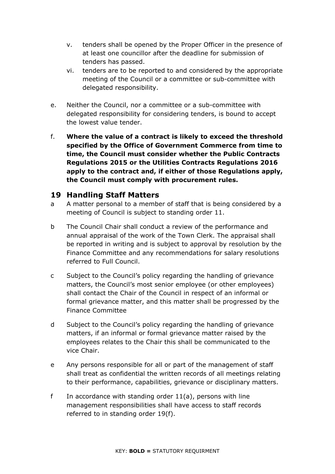- v. tenders shall be opened by the Proper Officer in the presence of at least one councillor after the deadline for submission of tenders has passed.
- vi. tenders are to be reported to and considered by the appropriate meeting of the Council or a committee or sub-committee with delegated responsibility.
- e. Neither the Council, nor a committee or a sub-committee with delegated responsibility for considering tenders, is bound to accept the lowest value tender.
- f. **Where the value of a contract is likely to exceed the threshold specified by the Office of Government Commerce from time to time, the Council must consider whether the Public Contracts Regulations 2015 or the Utilities Contracts Regulations 2016 apply to the contract and, if either of those Regulations apply, the Council must comply with procurement rules.**

#### <span id="page-22-0"></span>**19 Handling Staff Matters**

- a A matter personal to a member of staff that is being considered by a meeting of Council is subject to standing order 11.
- b The Council Chair shall conduct a review of the performance and annual appraisal of the work of the Town Clerk. The appraisal shall be reported in writing and is subject to approval by resolution by the Finance Committee and any recommendations for salary resolutions referred to Full Council.
- c Subject to the Council's policy regarding the handling of grievance matters, the Council's most senior employee (or other employees) shall contact the Chair of the Council in respect of an informal or formal grievance matter, and this matter shall be progressed by the Finance Committee
- d Subject to the Council's policy regarding the handling of grievance matters, if an informal or formal grievance matter raised by the employees relates to the Chair this shall be communicated to the vice Chair.
- e Any persons responsible for all or part of the management of staff shall treat as confidential the written records of all meetings relating to their performance, capabilities, grievance or disciplinary matters.
- f In accordance with standing order  $11(a)$ , persons with line management responsibilities shall have access to staff records referred to in standing order 19(f).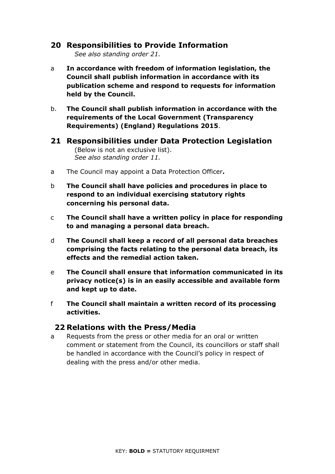#### <span id="page-23-0"></span>**20 Responsibilities to Provide Information**

*See also standing order 21.* 

- a **In accordance with freedom of information legislation, the Council shall publish information in accordance with its publication scheme and respond to requests for information held by the Council.**
- b. **The Council shall publish information in accordance with the requirements of the Local Government (Transparency Requirements) (England) Regulations 2015**.
- <span id="page-23-1"></span>**21 Responsibilities under Data Protection Legislation**  (Below is not an exclusive list). *See also standing order 11.*
- a The Council may appoint a Data Protection Officer**.**
- b **The Council shall have policies and procedures in place to respond to an individual exercising statutory rights concerning his personal data.**
- c **The Council shall have a written policy in place for responding to and managing a personal data breach.**
- d **The Council shall keep a record of all personal data breaches comprising the facts relating to the personal data breach, its effects and the remedial action taken.**
- e **The Council shall ensure that information communicated in its privacy notice(s) is in an easily accessible and available form and kept up to date.**
- f **The Council shall maintain a written record of its processing activities.**

#### <span id="page-23-2"></span>**22 Relations with the Press/Media**

a Requests from the press or other media for an oral or written comment or statement from the Council, its councillors or staff shall be handled in accordance with the Council's policy in respect of dealing with the press and/or other media.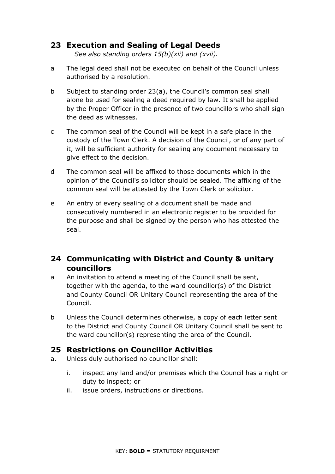## <span id="page-24-0"></span>**23 Execution and Sealing of Legal Deeds**

*See also standing orders 15(b)(xii) and (xvii).*

- a The legal deed shall not be executed on behalf of the Council unless authorised by a resolution.
- b Subject to standing order 23(a), the Council's common seal shall alone be used for sealing a deed required by law. It shall be applied by the Proper Officer in the presence of two councillors who shall sign the deed as witnesses.
- c The common seal of the Council will be kept in a safe place in the custody of the Town Clerk. A decision of the Council, or of any part of it, will be sufficient authority for sealing any document necessary to give effect to the decision.
- d The common seal will be affixed to those documents which in the opinion of the Council's solicitor should be sealed. The affixing of the common seal will be attested by the Town Clerk or solicitor.
- e An entry of every sealing of a document shall be made and consecutively numbered in an electronic register to be provided for the purpose and shall be signed by the person who has attested the seal.

## <span id="page-24-1"></span>**24 Communicating with District and County & unitary councillors**

- a An invitation to attend a meeting of the Council shall be sent, together with the agenda, to the ward councillor(s) of the District and County Council OR Unitary Council representing the area of the Council.
- b Unless the Council determines otherwise, a copy of each letter sent to the District and County Council OR Unitary Council shall be sent to the ward councillor(s) representing the area of the Council.

### <span id="page-24-2"></span>**25 Restrictions on Councillor Activities**

- a. Unless duly authorised no councillor shall:
	- i. inspect any land and/or premises which the Council has a right or duty to inspect; or
	- ii. issue orders, instructions or directions.